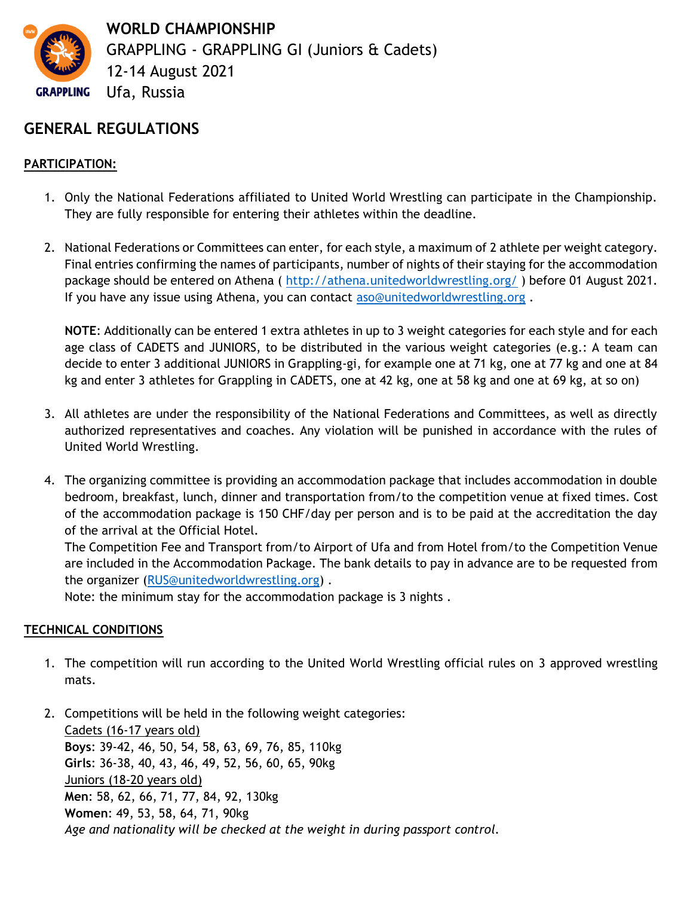

# **GENERAL REGULATIONS**

## **PARTICIPATION:**

- 1. Only the National Federations affiliated to United World Wrestling can participate in the Championship. They are fully responsible for entering their athletes within the deadline.
- 2. National Federations or Committees can enter, for each style, a maximum of 2 athlete per weight category. Final entries confirming the names of participants, number of nights of their staying for the accommodation package should be entered on Athena (<http://athena.unitedworldwrestling.org/>) before 01 August 2021. If you have any issue using Athena, you can contact [aso@unitedworldwrestling.org](mailto:aso@unitedworldwrestling.org) .

**NOTE**: Additionally can be entered 1 extra athletes in up to 3 weight categories for each style and for each age class of CADETS and JUNIORS, to be distributed in the various weight categories (e.g.: A team can decide to enter 3 additional JUNIORS in Grappling-gi, for example one at 71 kg, one at 77 kg and one at 84 kg and enter 3 athletes for Grappling in CADETS, one at 42 kg, one at 58 kg and one at 69 kg, at so on)

- 3. All athletes are under the responsibility of the National Federations and Committees, as well as directly authorized representatives and coaches. Any violation will be punished in accordance with the rules of United World Wrestling.
- 4. The organizing committee is providing an accommodation package that includes accommodation in double bedroom, breakfast, lunch, dinner and transportation from/to the competition venue at fixed times. Cost of the accommodation package is 150 CHF/day per person and is to be paid at the accreditation the day of the arrival at the Official Hotel.

The Competition Fee and Transport from/to Airport of Ufa and from Hotel from/to the Competition Venue are included in the Accommodation Package. The bank details to pay in advance are to be requested from the organizer [\(RUS@unitedworldwrestling.org\)](mailto:RUS@unitedworldwrestling.org).

Note: the minimum stay for the accommodation package is 3 nights .

## **TECHNICAL CONDITIONS**

- 1. The competition will run according to the United World Wrestling official rules on 3 approved wrestling mats.
- 2. Competitions will be held in the following weight categories: Cadets (16-17 years old) **Boys**: 39-42, 46, 50, 54, 58, 63, 69, 76, 85, 110kg **Girls**: 36-38, 40, 43, 46, 49, 52, 56, 60, 65, 90kg Juniors (18-20 years old) **Men**: 58, 62, 66, 71, 77, 84, 92, 130kg **Women**: 49, 53, 58, 64, 71, 90kg *Age and nationality will be checked at the weight in during passport control.*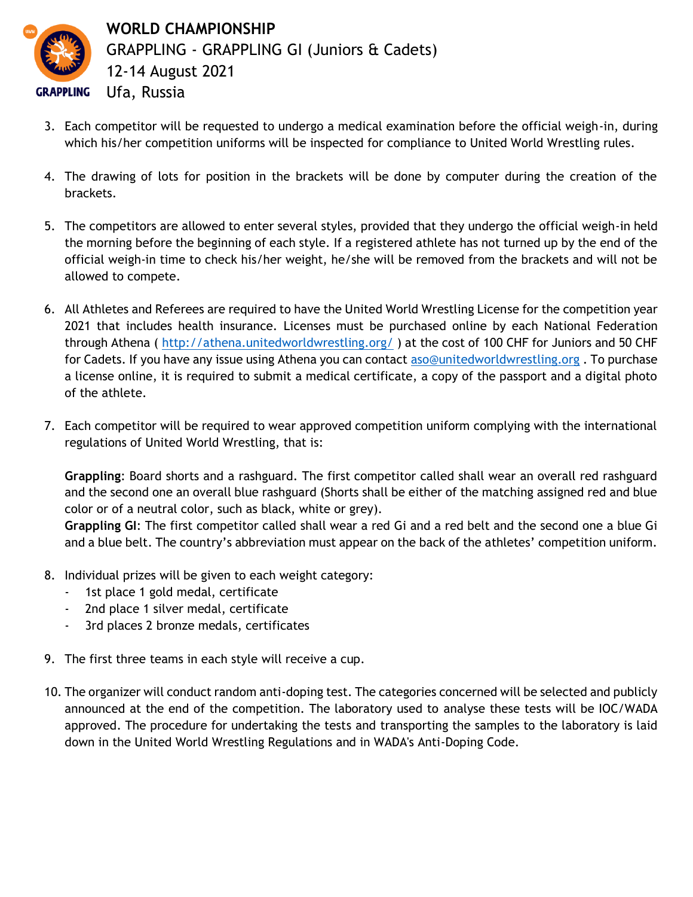

- 3. Each competitor will be requested to undergo a medical examination before the official weigh-in, during which his/her competition uniforms will be inspected for compliance to United World Wrestling rules.
- 4. The drawing of lots for position in the brackets will be done by computer during the creation of the brackets.
- 5. The competitors are allowed to enter several styles, provided that they undergo the official weigh-in held the morning before the beginning of each style. If a registered athlete has not turned up by the end of the official weigh-in time to check his/her weight, he/she will be removed from the brackets and will not be allowed to compete.
- 6. All Athletes and Referees are required to have the United World Wrestling License for the competition year 2021 that includes health insurance. Licenses must be purchased online by each National Federation through Athena (<http://athena.unitedworldwrestling.org/> ) at the cost of 100 CHF for Juniors and 50 CHF for Cadets. If you have any issue using Athena you can contact [aso@unitedworldwrestling.org](mailto:aso@unitedworldwrestling.org) . To purchase a license online, it is required to submit a medical certificate, a copy of the passport and a digital photo of the athlete.
- 7. Each competitor will be required to wear approved competition uniform complying with the international regulations of United World Wrestling, that is:

**Grappling**: Board shorts and a rashguard. The first competitor called shall wear an overall red rashguard and the second one an overall blue rashguard (Shorts shall be either of the matching assigned red and blue color or of a neutral color, such as black, white or grey).

**Grappling GI**: The first competitor called shall wear a red Gi and a red belt and the second one a blue Gi and a blue belt. The country's abbreviation must appear on the back of the athletes' competition uniform.

- 8. Individual prizes will be given to each weight category:
	- 1st place 1 gold medal, certificate
	- 2nd place 1 silver medal, certificate
	- 3rd places 2 bronze medals, certificates
- 9. The first three teams in each style will receive a cup.
- 10. The organizer will conduct random anti-doping test. The categories concerned will be selected and publicly announced at the end of the competition. The laboratory used to analyse these tests will be IOC/WADA approved. The procedure for undertaking the tests and transporting the samples to the laboratory is laid down in the United World Wrestling Regulations and in WADA's Anti-Doping Code.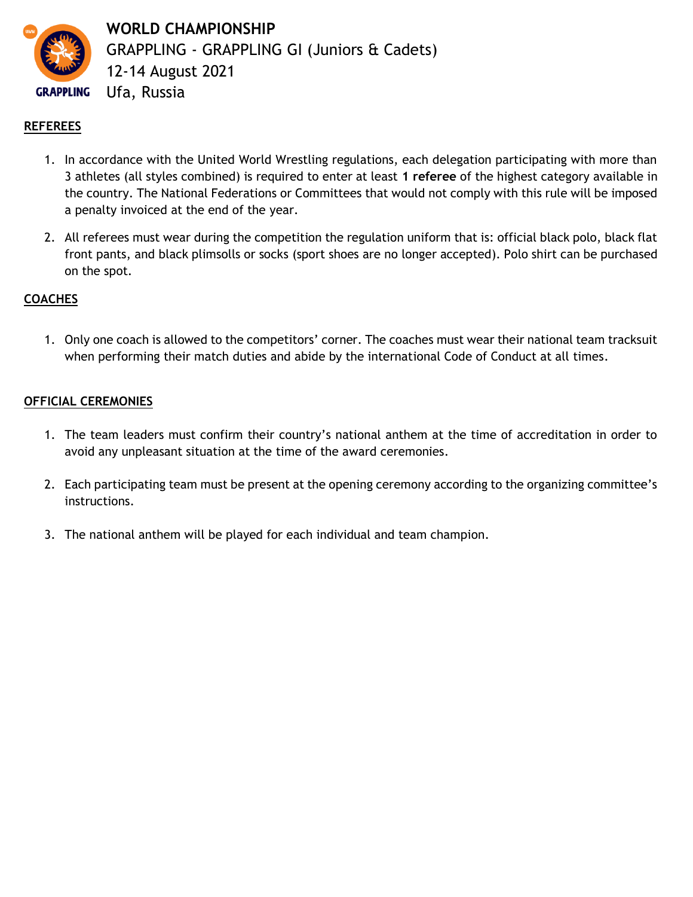

**WORLD CHAMPIONSHIP** GRAPPLING - GRAPPLING GI (Juniors & Cadets) 12-14 August 2021 Ufa, Russia

### **REFEREES**

- 1. In accordance with the United World Wrestling regulations, each delegation participating with more than 3 athletes (all styles combined) is required to enter at least **1 referee** of the highest category available in the country. The National Federations or Committees that would not comply with this rule will be imposed a penalty invoiced at the end of the year.
- 2. All referees must wear during the competition the regulation uniform that is: official black polo, black flat front pants, and black plimsolls or socks (sport shoes are no longer accepted). Polo shirt can be purchased on the spot.

### **COACHES**

1. Only one coach is allowed to the competitors' corner. The coaches must wear their national team tracksuit when performing their match duties and abide by the international Code of Conduct at all times.

### **OFFICIAL CEREMONIES**

- 1. The team leaders must confirm their country's national anthem at the time of accreditation in order to avoid any unpleasant situation at the time of the award ceremonies.
- 2. Each participating team must be present at the opening ceremony according to the organizing committee's instructions.
- 3. The national anthem will be played for each individual and team champion.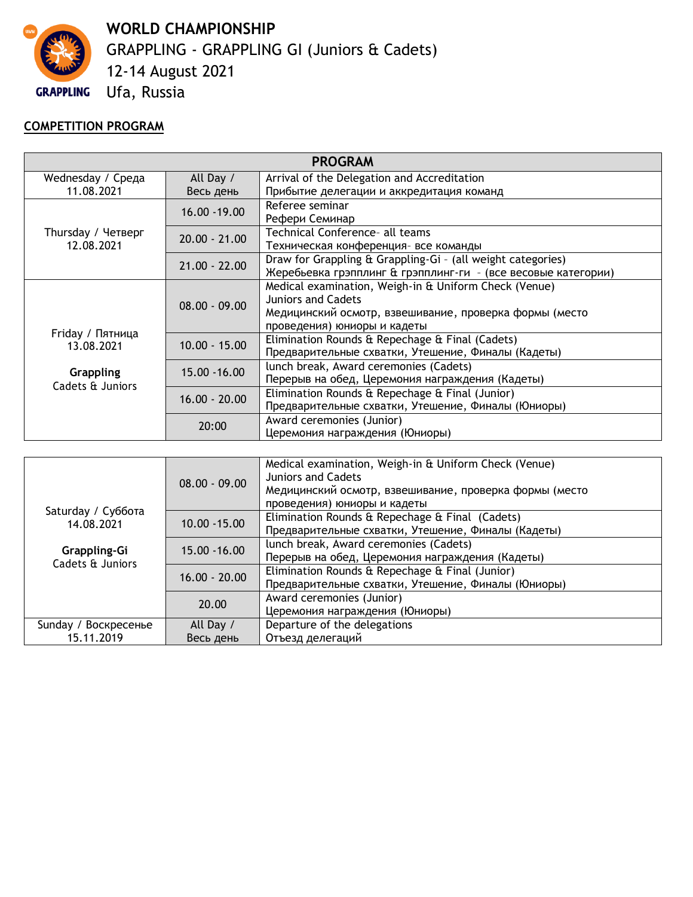

**WORLD CHAMPIONSHIP** GRAPPLING - GRAPPLING GI (Juniors & Cadets) 12-14 August 2021

# Ufa, Russia

# **COMPETITION PROGRAM**

| <b>PROGRAM</b>                       |                 |                                                               |
|--------------------------------------|-----------------|---------------------------------------------------------------|
| Wednesday / Среда                    | All Day /       | Arrival of the Delegation and Accreditation                   |
| 11.08.2021                           | Весь день       | Прибытие делегации и аккредитация команд                      |
| Thursday / Четверг<br>12.08.2021     | 16.00 - 19.00   | Referee seminar                                               |
|                                      |                 | Рефери Семинар                                                |
|                                      | $20.00 - 21.00$ | Technical Conference- all teams                               |
|                                      |                 | Техническая конференция- все команды                          |
|                                      | $21.00 - 22.00$ | Draw for Grappling & Grappling-Gi - (all weight categories)   |
|                                      |                 | Жеребьевка грэпплинг & грэпплинг-ги - (все весовые категории) |
| Friday / Пятница<br>13.08.2021       | $08.00 - 09.00$ | Medical examination, Weigh-in & Uniform Check (Venue)         |
|                                      |                 | <b>Juniors and Cadets</b>                                     |
|                                      |                 | Медицинский осмотр, взвешивание, проверка формы (место        |
|                                      |                 | проведения) юниоры и кадеты                                   |
|                                      | $10.00 - 15.00$ | Elimination Rounds & Repechage & Final (Cadets)               |
|                                      |                 | Предварительные схватки, Утешение, Финалы (Кадеты)            |
| <b>Grappling</b><br>Cadets & Juniors | 15.00 - 16.00   | lunch break, Award ceremonies (Cadets)                        |
|                                      |                 | Перерыв на обед, Церемония награждения (Кадеты)               |
|                                      | $16.00 - 20.00$ | Elimination Rounds & Repechage & Final (Junior)               |
|                                      |                 | Предварительные схватки, Утешение, Финалы (Юниоры)            |
|                                      | 20:00           | Award ceremonies (Junior)                                     |
|                                      |                 | Церемония награждения (Юниоры)                                |
|                                      |                 |                                                               |
|                                      | $08.00 - 09.00$ | Medical examination, Weigh-in & Uniform Check (Venue)         |
|                                      |                 | <b>Juniors and Cadets</b>                                     |
|                                      |                 | Медицинский осмотр, взвешивание, проверка формы (место        |
| Saturday / Суббота                   |                 | проведения) юниоры и кадеты                                   |
| 14.08.2021                           | $10.00 - 15.00$ | Elimination Rounds & Repechage & Final (Cadets)               |
|                                      |                 | Предварительные схватки, Утешение, Финалы (Кадеты)            |
| Grappling-Gi<br>Cadets & Juniors     | 15.00 - 16.00   | lunch break, Award ceremonies (Cadets)                        |
|                                      |                 | Перерыв на обед, Церемония награждения (Кадеты)               |
|                                      | $16.00 - 20.00$ | Elimination Rounds & Repechage & Final (Junior)               |
|                                      |                 | Предварительные схватки, Утешение, Финалы (Юниоры)            |
|                                      | 20.00           | Award ceremonies (Junior)                                     |
|                                      |                 | Церемония награждения (Юниоры)                                |
| Sunday / Воскресенье                 | All Day /       | Departure of the delegations                                  |
| 15.11.2019                           | Весь день       | Отъезд делегаций                                              |